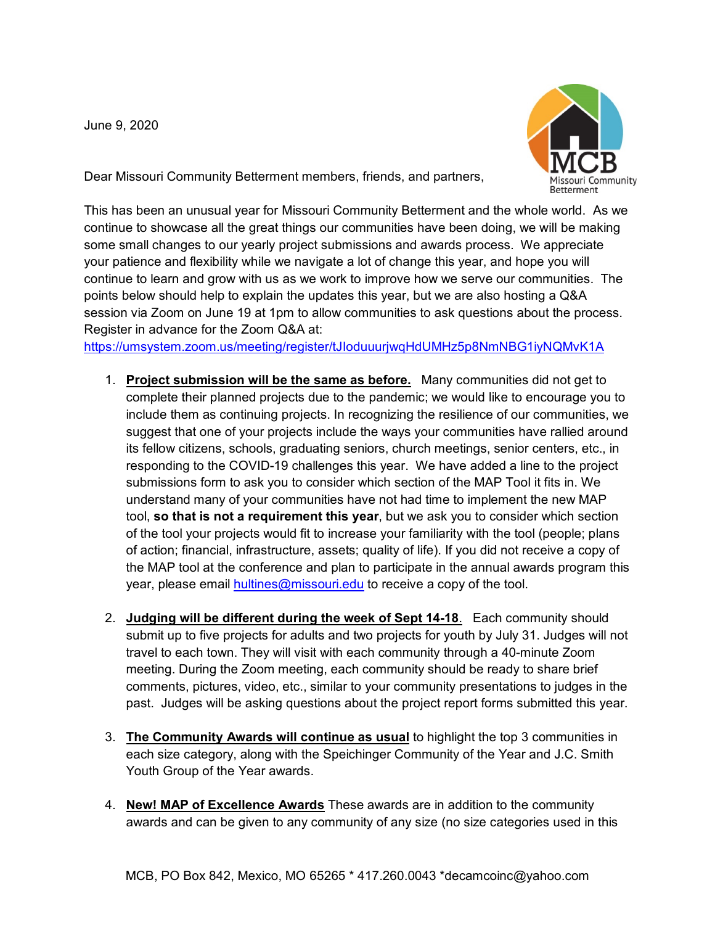June 9, 2020



Dear Missouri Community Betterment members, friends, and partners,

This has been an unusual year for Missouri Community Betterment and the whole world. As we continue to showcase all the great things our communities have been doing, we will be making some small changes to our yearly project submissions and awards process. We appreciate your patience and flexibility while we navigate a lot of change this year, and hope you will continue to learn and grow with us as we work to improve how we serve our communities. The points below should help to explain the updates this year, but we are also hosting a Q&A session via Zoom on June 19 at 1pm to allow communities to ask questions about the process. Register in advance for the Zoom Q&A at:

<https://umsystem.zoom.us/meeting/register/tJIoduuurjwqHdUMHz5p8NmNBG1iyNQMvK1A>

- 1. **Project submission will be the same as before.** Many communities did not get to complete their planned projects due to the pandemic; we would like to encourage you to include them as continuing projects. In recognizing the resilience of our communities, we suggest that one of your projects include the ways your communities have rallied around its fellow citizens, schools, graduating seniors, church meetings, senior centers, etc., in responding to the COVID-19 challenges this year. We have added a line to the project submissions form to ask you to consider which section of the MAP Tool it fits in. We understand many of your communities have not had time to implement the new MAP tool, **so that is not a requirement this year**, but we ask you to consider which section of the tool your projects would fit to increase your familiarity with the tool (people; plans of action; financial, infrastructure, assets; quality of life). If you did not receive a copy of the MAP tool at the conference and plan to participate in the annual awards program this year, please email **hultines@missouri.edu** to receive a copy of the tool.
- 2. **Judging will be different during the week of Sept 14-18**. Each community should submit up to five projects for adults and two projects for youth by July 31. Judges will not travel to each town. They will visit with each community through a 40-minute Zoom meeting. During the Zoom meeting, each community should be ready to share brief comments, pictures, video, etc., similar to your community presentations to judges in the past. Judges will be asking questions about the project report forms submitted this year.
- 3. **The Community Awards will continue as usual** to highlight the top 3 communities in each size category, along with the Speichinger Community of the Year and J.C. Smith Youth Group of the Year awards.
- 4. **New! MAP of Excellence Awards** These awards are in addition to the community awards and can be given to any community of any size (no size categories used in this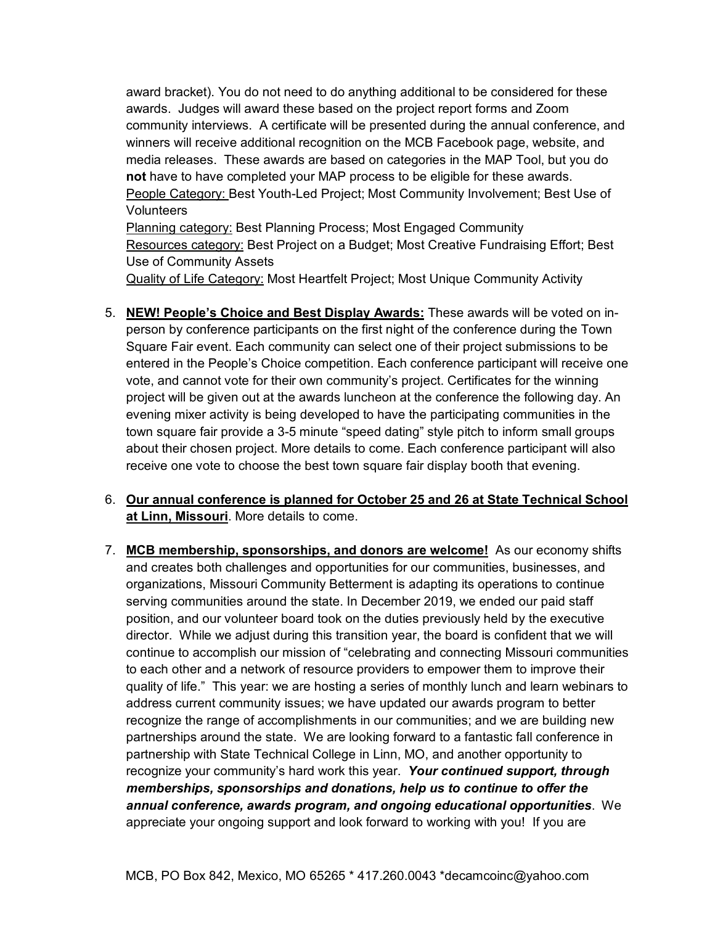award bracket). You do not need to do anything additional to be considered for these awards. Judges will award these based on the project report forms and Zoom community interviews. A certificate will be presented during the annual conference, and winners will receive additional recognition on the MCB Facebook page, website, and media releases. These awards are based on categories in the MAP Tool, but you do **not** have to have completed your MAP process to be eligible for these awards. People Category: Best Youth-Led Project; Most Community Involvement; Best Use of **Volunteers** 

Planning category: Best Planning Process; Most Engaged Community Resources category: Best Project on a Budget; Most Creative Fundraising Effort; Best Use of Community Assets

Quality of Life Category: Most Heartfelt Project; Most Unique Community Activity

5. **NEW! People's Choice and Best Display Awards:** These awards will be voted on inperson by conference participants on the first night of the conference during the Town Square Fair event. Each community can select one of their project submissions to be entered in the People's Choice competition. Each conference participant will receive one vote, and cannot vote for their own community's project. Certificates for the winning project will be given out at the awards luncheon at the conference the following day. An evening mixer activity is being developed to have the participating communities in the town square fair provide a 3-5 minute "speed dating" style pitch to inform small groups about their chosen project. More details to come. Each conference participant will also receive one vote to choose the best town square fair display booth that evening.

## 6. **Our annual conference is planned for October 25 and 26 at State Technical School at Linn, Missouri**. More details to come.

7. **MCB membership, sponsorships, and donors are welcome!** As our economy shifts and creates both challenges and opportunities for our communities, businesses, and organizations, Missouri Community Betterment is adapting its operations to continue serving communities around the state. In December 2019, we ended our paid staff position, and our volunteer board took on the duties previously held by the executive director. While we adjust during this transition year, the board is confident that we will continue to accomplish our mission of "celebrating and connecting Missouri communities to each other and a network of resource providers to empower them to improve their quality of life." This year: we are hosting a series of monthly lunch and learn webinars to address current community issues; we have updated our awards program to better recognize the range of accomplishments in our communities; and we are building new partnerships around the state. We are looking forward to a fantastic fall conference in partnership with State Technical College in Linn, MO, and another opportunity to recognize your community's hard work this year. *Your continued support, through memberships, sponsorships and donations, help us to continue to offer the annual conference, awards program, and ongoing educational opportunities*. We appreciate your ongoing support and look forward to working with you! If you are